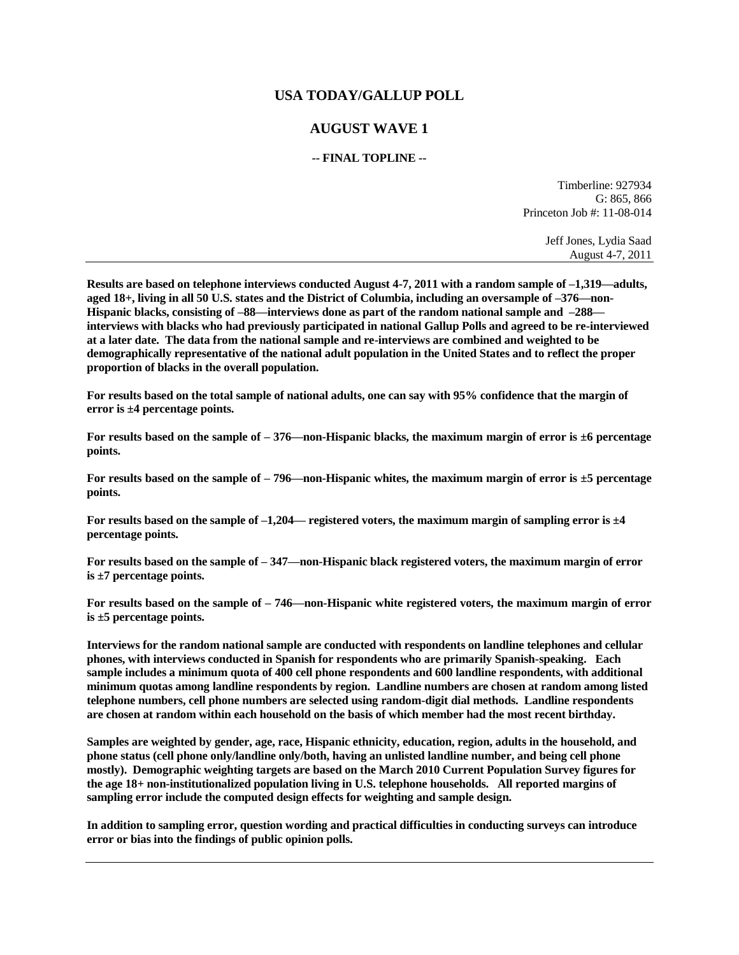## **USA TODAY/GALLUP POLL**

## **AUGUST WAVE 1**

## **-- FINAL TOPLINE --**

Timberline: 927934 G: 865, 866 Princeton Job #: 11-08-014

> Jeff Jones, Lydia Saad August 4-7, 2011

**Results are based on telephone interviews conducted August 4-7, 2011 with a random sample of –1,319—adults, aged 18+, living in all 50 U.S. states and the District of Columbia, including an oversample of –376—non-Hispanic blacks, consisting of –88—interviews done as part of the random national sample and –288 interviews with blacks who had previously participated in national Gallup Polls and agreed to be re-interviewed at a later date. The data from the national sample and re-interviews are combined and weighted to be demographically representative of the national adult population in the United States and to reflect the proper proportion of blacks in the overall population.** 

**For results based on the total sample of national adults, one can say with 95% confidence that the margin of error is ±4 percentage points.**

**For results based on the sample of – 376—non-Hispanic blacks, the maximum margin of error is ±6 percentage points.** 

**For results based on the sample of – 796—non-Hispanic whites, the maximum margin of error is ±5 percentage points.** 

**For results based on the sample of –1,204— registered voters, the maximum margin of sampling error is ±4 percentage points.**

**For results based on the sample of – 347—non-Hispanic black registered voters, the maximum margin of error is ±7 percentage points.** 

**For results based on the sample of – 746—non-Hispanic white registered voters, the maximum margin of error is ±5 percentage points.** 

**Interviews for the random national sample are conducted with respondents on landline telephones and cellular phones, with interviews conducted in Spanish for respondents who are primarily Spanish-speaking. Each sample includes a minimum quota of 400 cell phone respondents and 600 landline respondents, with additional minimum quotas among landline respondents by region. Landline numbers are chosen at random among listed telephone numbers, cell phone numbers are selected using random-digit dial methods. Landline respondents are chosen at random within each household on the basis of which member had the most recent birthday.** 

**Samples are weighted by gender, age, race, Hispanic ethnicity, education, region, adults in the household, and phone status (cell phone only/landline only/both, having an unlisted landline number, and being cell phone mostly). Demographic weighting targets are based on the March 2010 Current Population Survey figures for the age 18+ non-institutionalized population living in U.S. telephone households. All reported margins of sampling error include the computed design effects for weighting and sample design.** 

**In addition to sampling error, question wording and practical difficulties in conducting surveys can introduce error or bias into the findings of public opinion polls.**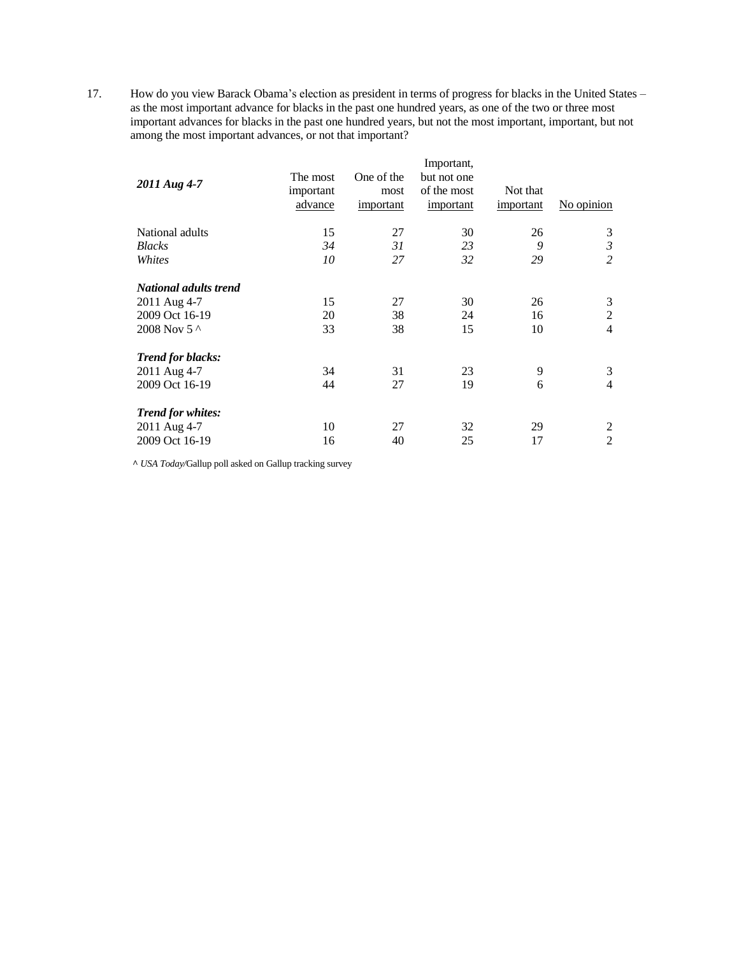17. How do you view Barack Obama's election as president in terms of progress for blacks in the United States – as the most important advance for blacks in the past one hundred years, as one of the two or three most important advances for blacks in the past one hundred years, but not the most important, important, but not important, but not among the most important advances, or not that important?

|                          | Important, |            |             |           |                |  |  |  |
|--------------------------|------------|------------|-------------|-----------|----------------|--|--|--|
| 2011 Aug 4-7             | The most   | One of the | but not one |           |                |  |  |  |
|                          | important  | most       | of the most | Not that  |                |  |  |  |
|                          | advance    | important  | important   | important | No opinion     |  |  |  |
| National adults          | 15         | 27         | 30          | 26        | 3              |  |  |  |
| <b>Blacks</b>            | 34         | 31         | 23          | 9         | 3              |  |  |  |
| Whites                   | 10         | 27         | 32          | 29        | 2              |  |  |  |
| National adults trend    |            |            |             |           |                |  |  |  |
| 2011 Aug 4-7             | 15         | 27         | 30          | 26        | 3              |  |  |  |
| 2009 Oct 16-19           | 20         | 38         | 24          | 16        | $\overline{c}$ |  |  |  |
| 2008 Nov 5 ^             | 33         | 38         | 15          | 10        | 4              |  |  |  |
| <b>Trend for blacks:</b> |            |            |             |           |                |  |  |  |
| 2011 Aug 4-7             | 34         | 31         | 23          | 9         | 3              |  |  |  |
| 2009 Oct 16-19           | 44         | 27         | 19          | 6         | $\overline{4}$ |  |  |  |
| <b>Trend for whites:</b> |            |            |             |           |                |  |  |  |
| 2011 Aug 4-7             | 10         | 27         | 32          | 29        | 2              |  |  |  |
| 2009 Oct 16-19           | 16         | 40         | 25          | 17        | $\overline{2}$ |  |  |  |

**^** *USA Today/*Gallup poll asked on Gallup tracking survey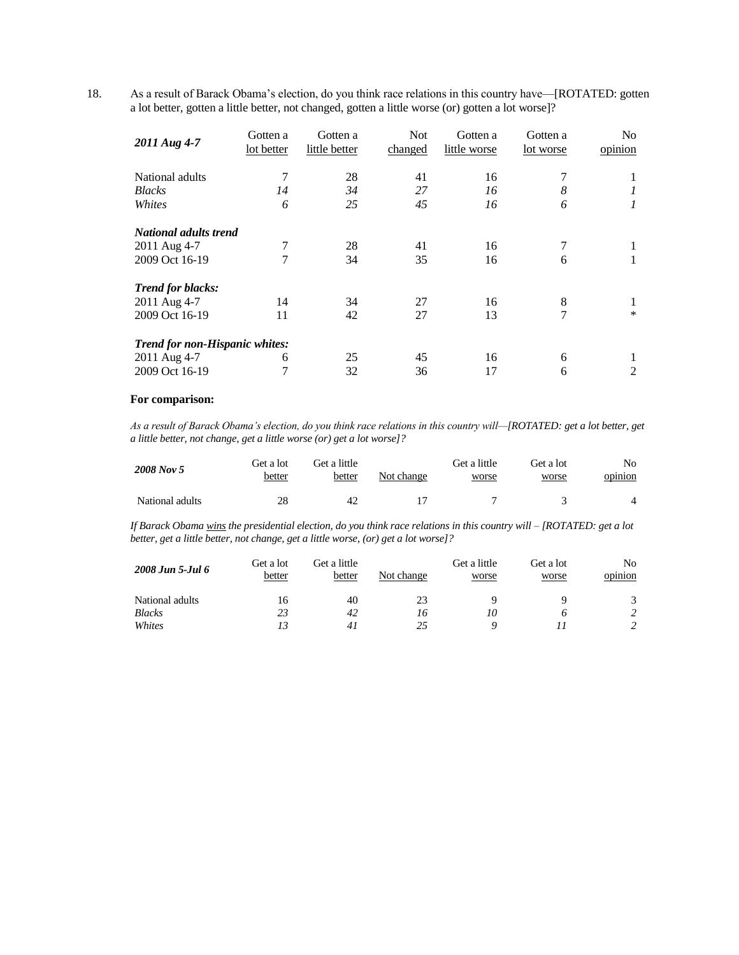18. As a result of Barack Obama's election, do you think race relations in this country have—[ROTATED: gotten a lot better, gotten a little better, not changed, gotten a little worse (or) gotten a lot worse]?

| 2011 Aug 4-7                   | Gotten a<br>lot better | Gotten a<br>little better | <b>Not</b><br>changed | Gotten a<br>little worse | Gotten a<br>lot worse | No.<br>opinion |
|--------------------------------|------------------------|---------------------------|-----------------------|--------------------------|-----------------------|----------------|
| National adults                | 7                      | 28                        | 41                    | 16                       | 7                     | 1              |
| <b>Blacks</b>                  | 14                     | 34                        | 27                    | 16                       | 8                     |                |
| Whites                         | 6                      | 25                        | 45                    | 16                       | 6                     | 1              |
| National adults trend          |                        |                           |                       |                          |                       |                |
| 2011 Aug 4-7                   | 7                      | 28                        | 41                    | 16                       | 7                     |                |
| 2009 Oct 16-19                 | 7                      | 34                        | 35                    | 16                       | 6                     | 1              |
| <b>Trend for blacks:</b>       |                        |                           |                       |                          |                       |                |
| 2011 Aug 4-7                   | 14                     | 34                        | 27                    | 16                       | 8                     |                |
| 2009 Oct 16-19                 | 11                     | 42                        | 27                    | 13                       | 7                     | $\ast$         |
| Trend for non-Hispanic whites: |                        |                           |                       |                          |                       |                |
| 2011 Aug 4-7                   | 6                      | 25                        | 45                    | 16                       | 6                     |                |
| 2009 Oct 16-19                 | 7                      | 32                        | 36                    | 17                       | 6                     | 2              |

## **For comparison:**

As a result of Barack Obama's election, do you think race relations in this country will—[ROTATED: get a lot better, get *a little better, not change, get a little worse (or) get a lot worse]?*

| 2008 Nov 5      | Get a lot<br>better | Get a little<br>better | Not change | Get a little<br>worse | Get a lot<br>worse | No.<br>opinion |
|-----------------|---------------------|------------------------|------------|-----------------------|--------------------|----------------|
| National adults | 28                  | 42                     |            |                       |                    | $\overline{4}$ |

*If Barack Obama wins the presidential election, do you think race relations in this country will – [ROTATED: get a lot better, get a little better, not change, get a little worse, (or) get a lot worse]?*

| 2008 Jun 5-Jul 6 | Get a lot<br>better | Get a little<br>better | Not change | Get a little<br>worse | Get a lot<br>worse | No<br>opinion |
|------------------|---------------------|------------------------|------------|-----------------------|--------------------|---------------|
| National adults  | 16                  | 40                     | 23         |                       |                    |               |
| <b>Blacks</b>    | 23                  | 42                     | 16         | 10                    |                    |               |
| Whites           | 13                  | 41                     | 25         |                       |                    |               |